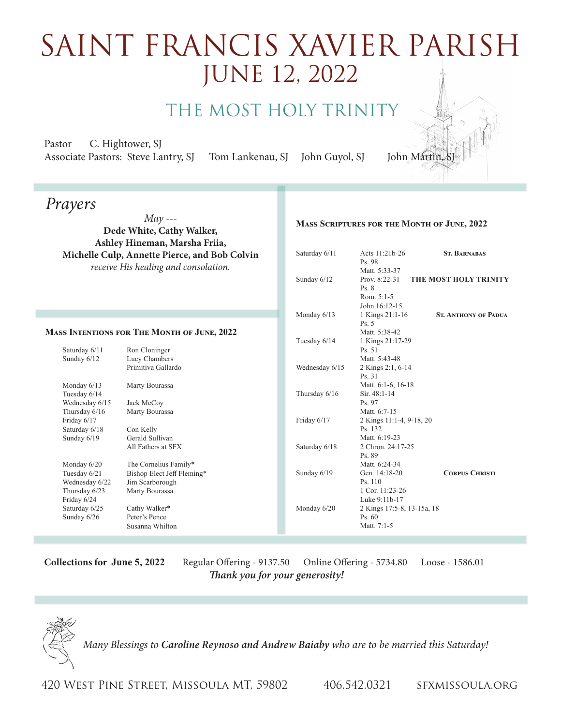## saint FRancis xavier parish June 12, 2022

The Most Holy Trinity

Pastor C. Hightower, SJ Associate Pastors: Steve Lantry, SJ Tom Lankenau, SJ John Guyol, SJ John Martin

*Prayers*

*May ---* **Dede White, Cathy Walker, Ashley Hineman, Marsha Friia, Michelle Culp, Annette Pierce, and Bob Colvin** *receive His healing and consolation.*

## **Mass Intentions for The Month of June, 2022**

Saturday 6/11 Ron Cloninger Sunday 6/12 Lucy Chambers Primitiva Gallardo Monday 6/13 Marty Bourassa Tuesday 6/14 Wednesday 6/15 Jack McCoy<br>Thursday 6/16 Marty Boura Marty Bourassa Friday 6/17 Saturday 6/18 Con Kelly<br>Sunday 6/19 Gerald Sul Gerald Sullivan All Fathers at SFX Monday  $6/20$  The Cornelius Family\* Tuesday 6/21 Bishop Elect Jeff Fleming\* Wednesday 6/22 Jim Scarborough Thursday 6/23 Marty Bourassa Friday 6/24 Cathy Walker\* Sunday  $6/26$  Peter's Pence Susanna Whilton

|  | Saturday 6/11  | Acts $11:21b-26$           | <b>ST. BARNABAS</b>         |
|--|----------------|----------------------------|-----------------------------|
|  |                | Ps. 98                     |                             |
|  |                | Matt. 5:33-37              |                             |
|  | Sunday 6/12    | Prov. $8:22-31$            | THE MOST HOLY TRINITY       |
|  |                | Ps.8                       |                             |
|  |                | Rom. 5:1-5                 |                             |
|  |                | John 16:12-15              |                             |
|  | Monday $6/13$  | 1 Kings 21:1-16            | <b>ST. ANTHONY OF PADUA</b> |
|  |                | Ps.5                       |                             |
|  |                | Matt. 5:38-42              |                             |
|  | Tuesday 6/14   | 1 Kings 21:17-29           |                             |
|  |                | Ps.51                      |                             |
|  |                | Matt. 5:43-48              |                             |
|  | Wednesday 6/15 | 2 Kings 2:1, 6-14          |                             |
|  |                | Ps. 31                     |                             |
|  |                | Matt. 6:1-6, 16-18         |                             |
|  | Thursday 6/16  | Sir. 48:1-14               |                             |
|  |                | Ps. 97                     |                             |
|  |                | Matt. 6:7-15               |                             |
|  | Friday 6/17    | 2 Kings 11:1-4, 9-18, 20   |                             |
|  |                | Ps. 132                    |                             |
|  |                | Matt. 6:19-23              |                             |
|  | Saturday 6/18  | 2 Chron. 24:17-25          |                             |
|  |                | Ps. 89                     |                             |
|  |                | Matt. 6:24-34              |                             |
|  | Sunday 6/19    | Gen. 14:18-20              | <b>CORPUS CHRISTI</b>       |
|  |                | Ps. 110                    |                             |
|  |                | 1 Cor. 11:23-26            |                             |
|  |                | Luke 9:11b-17              |                             |
|  | Monday 6/20    | 2 Kings 17:5-8, 13-15a, 18 |                             |
|  |                | Ps.60                      |                             |
|  |                | Matt. 7:1-5                |                             |

**Mass Scriptures for the Month of June, 2022**

**Collections for June 5, 2022** Regular Offering - 9137.50 Online Offering - 5734.80 Loose - 1586.01 *Thank you for your generosity!* 



*Many Blessings to Caroline Reynoso and Andrew Baiaby who are to be married this Saturday!*

420 West Pine Street, Missoula MT, 59802 406.542.0321 sfxmissoula.org